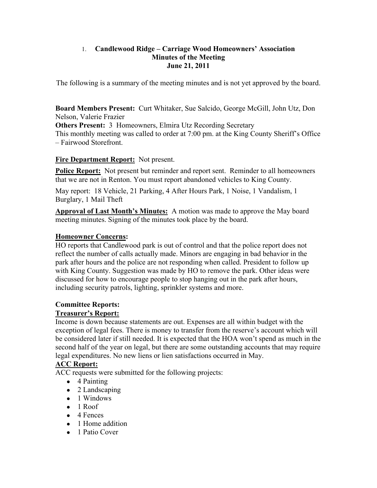## 1. **Candlewood Ridge – Carriage Wood Homeowners' Association Minutes of the Meeting June 21, 2011**

The following is a summary of the meeting minutes and is not yet approved by the board.

**Board Members Present:** Curt Whitaker, Sue Salcido, George McGill, John Utz, Don Nelson, Valerie Frazier

**Others Present: 3 Homeowners, Elmira Utz Recording Secretary** 

This monthly meeting was called to order at 7:00 pm. at the King County Sheriff's Office – Fairwood Storefront.

# **Fire Department Report:** Not present.

**Police Report:** Not present but reminder and report sent. Reminder to all homeowners that we are not in Renton. You must report abandoned vehicles to King County.

May report: 18 Vehicle, 21 Parking, 4 After Hours Park, 1 Noise, 1 Vandalism, 1 Burglary, 1 Mail Theft

**Approval of Last Month's Minutes:** A motion was made to approve the May board meeting minutes. Signing of the minutes took place by the board.

# **Homeowner Concerns:**

HO reports that Candlewood park is out of control and that the police report does not reflect the number of calls actually made. Minors are engaging in bad behavior in the park after hours and the police are not responding when called. President to follow up with King County. Suggestion was made by HO to remove the park. Other ideas were discussed for how to encourage people to stop hanging out in the park after hours, including security patrols, lighting, sprinkler systems and more.

# **Committee Reports:**

## **Treasurer's Report:**

Income is down because statements are out. Expenses are all within budget with the exception of legal fees. There is money to transfer from the reserve's account which will be considered later if still needed. It is expected that the HOA won't spend as much in the second half of the year on legal, but there are some outstanding accounts that may require legal expenditures. No new liens or lien satisfactions occurred in May.

# **ACC Report:**

ACC requests were submitted for the following projects:

- 4 Painting
- $\bullet$  2 Landscaping
- 1 Windows
- $\bullet$  1 Roof
- $\bullet$  4 Fences
- 1 Home addition
- 1 Patio Cover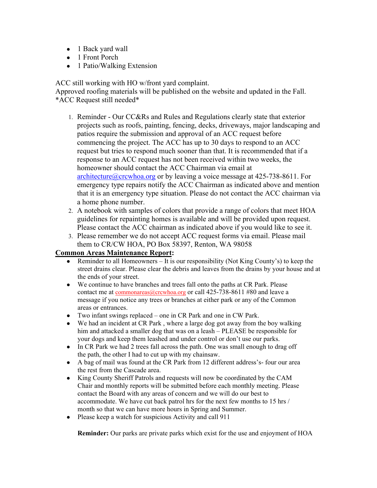- 1 Back yard wall
- 1 Front Porch
- 1 Patio/Walking Extension

ACC still working with HO w/front yard complaint.

Approved roofing materials will be published on the website and updated in the Fall. \*ACC Request still needed\*

- 1. Reminder Our CC&Rs and Rules and Regulations clearly state that exterior projects such as roofs, painting, fencing, decks, driveways, major landscaping and patios require the submission and approval of an ACC request before commencing the project. The ACC has up to 30 days to respond to an ACC request but tries to respond much sooner than that. It is recommended that if a response to an ACC request has not been received within two weeks, the homeowner should contact the ACC Chairman via email at architecture@crcwhoa.org or by leaving a voice message at 425-738-8611. For emergency type repairs notify the ACC Chairman as indicated above and mention that it is an emergency type situation. Please do not contact the ACC chairman via a home phone number.
- 2. A notebook with samples of colors that provide a range of colors that meet HOA guidelines for repainting homes is available and will be provided upon request. Please contact the ACC chairman as indicated above if you would like to see it.
- 3. Please remember we do not accept ACC request forms via email. Please mail them to CR/CW HOA, PO Box 58397, Renton, WA 98058

#### **Common Areas Maintenance Report:**

- Reminder to all Homeowners  $-$  It is our responsibility (Not King County's) to keep the street drains clear. Please clear the debris and leaves from the drains by your house and at the ends of your street.
- We continue to have branches and trees fall onto the paths at CR Park. Please contact me at commonareas@crcwhoa.org or call 425-738-8611 #80 and leave a message if you notice any trees or branches at either park or any of the Common areas or entrances.
- Two infant swings replaced one in CR Park and one in CW Park.
- We had an incident at CR Park , where a large dog got away from the boy walking him and attacked a smaller dog that was on a leash – PLEASE be responsible for your dogs and keep them leashed and under control or don't use our parks.
- In CR Park we had 2 trees fall across the path. One was small enough to drag off the path, the other I had to cut up with my chainsaw.
- A bag of mail was found at the CR Park from 12 different address's- four our area the rest from the Cascade area.
- King County Sheriff Patrols and requests will now be coordinated by the CAM Chair and monthly reports will be submitted before each monthly meeting. Please contact the Board with any areas of concern and we will do our best to accommodate. We have cut back patrol hrs for the next few months to 15 hrs / month so that we can have more hours in Spring and Summer.
- Please keep a watch for suspicious Activity and call 911

**Reminder:** Our parks are private parks which exist for the use and enjoyment of HOA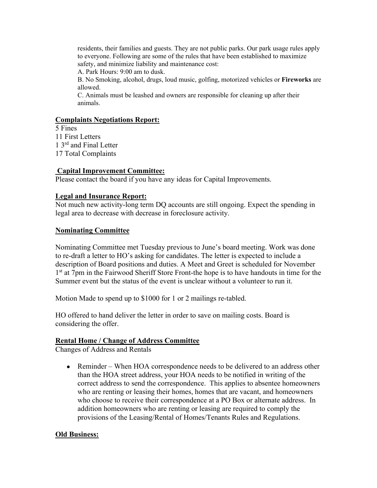residents, their families and guests. They are not public parks. Our park usage rules apply to everyone. Following are some of the rules that have been established to maximize safety, and minimize liability and maintenance cost:

A. Park Hours: 9:00 am to dusk.

B. No Smoking, alcohol, drugs, loud music, golfing, motorized vehicles or **Fireworks** are allowed.

C. Animals must be leashed and owners are responsible for cleaning up after their animals.

#### **Complaints Negotiations Report:**

5 Fines 11 First Letters 1 3rd and Final Letter 17 Total Complaints

#### **Capital Improvement Committee:**

Please contact the board if you have any ideas for Capital Improvements.

#### **Legal and Insurance Report:**

Not much new activity-long term DQ accounts are still ongoing. Expect the spending in legal area to decrease with decrease in foreclosure activity.

#### **Nominating Committee**

Nominating Committee met Tuesday previous to June's board meeting. Work was done to re-draft a letter to HO's asking for candidates. The letter is expected to include a description of Board positions and duties. A Meet and Greet is scheduled for November 1<sup>st</sup> at 7pm in the Fairwood Sheriff Store Front-the hope is to have handouts in time for the Summer event but the status of the event is unclear without a volunteer to run it.

Motion Made to spend up to \$1000 for 1 or 2 mailings re-tabled.

HO offered to hand deliver the letter in order to save on mailing costs. Board is considering the offer.

#### **Rental Home / Change of Address Committee**

Changes of Address and Rentals

• Reminder – When HOA correspondence needs to be delivered to an address other than the HOA street address, your HOA needs to be notified in writing of the correct address to send the correspondence. This applies to absentee homeowners who are renting or leasing their homes, homes that are vacant, and homeowners who choose to receive their correspondence at a PO Box or alternate address. In addition homeowners who are renting or leasing are required to comply the provisions of the Leasing/Rental of Homes/Tenants Rules and Regulations.

#### **Old Business:**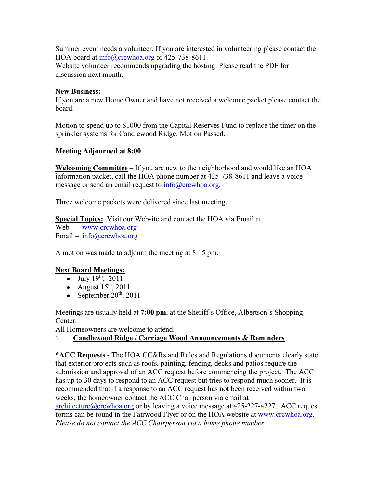Summer event needs a volunteer. If you are interested in volunteering please contact the HOA board at info@crcwhoa.org or 425-738-8611.

Website volunteer recommends upgrading the hosting. Please read the PDF for discussion next month.

## **New Business:**

If you are a new Home Owner and have not received a welcome packet please contact the board.

Motion to spend up to \$1000 from the Capital Reserves Fund to replace the timer on the sprinkler systems for Candlewood Ridge. Motion Passed.

# **Meeting Adjourned at 8:00**

**Welcoming Committee** – If you are new to the neighborhood and would like an HOA information packet, call the HOA phone number at 425-738-8611 and leave a voice message or send an email request to  $info@crcwhoa.org$ .

Three welcome packets were delivered since last meeting.

**Special Topics:** Visit our Website and contact the HOA via Email at:

Web – www.crcwhoa.org Email – info@crcwhoa.org

A motion was made to adjourn the meeting at 8:15 pm.

## **Next Board Meetings:**

- July  $19^{th}$ ,  $2011$
- August  $15<sup>th</sup>$ , 2011
- September  $20^{th}$ ,  $2011$

Meetings are usually held at **7:00 pm.** at the Sheriff's Office, Albertson's Shopping Center.

All Homeowners are welcome to attend.

## 1. **Candlewood Ridge / Carriage Wood Announcements & Reminders**

**\*ACC Requests** - The HOA CC&Rs and Rules and Regulations documents clearly state that exterior projects such as roofs, painting, fencing, decks and patios require the submission and approval of an ACC request before commencing the project. The ACC has up to 30 days to respond to an ACC request but tries to respond much sooner. It is recommended that if a response to an ACC request has not been received within two weeks, the homeowner contact the ACC Chairperson via email at

 $architecture@crcwhoa.org$  or by leaving a voice message at 425-227-4227. ACC request forms can be found in the Fairwood Flyer or on the HOA website at www.crcwhoa.org. *Please do not contact the ACC Chairperson via a home phone number.*